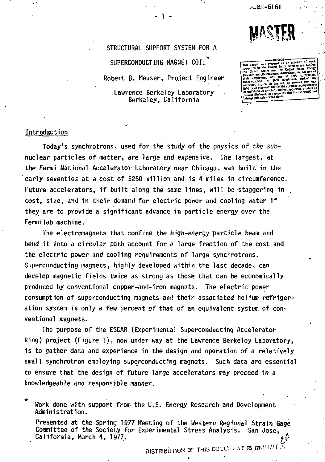**/•LBL--6I61** 



**STRUCTURAL SUPPORT SYSTEM FOR A**  SUPERCONDUCT ING MAGNET COIL **Robert B. Meuser, Project Engineer Lawrence Berkeley Laboratory Berkeley, California** 

1.

their employees, nor any employees, make my wattanly, express or million the accuracy, completency. infringe privately owned rights.

# **Introduction**

**Today's synchrotrons, used for the study of the physics of the subnuclear particles of matter, are large and expensive. The largest, at the Fermi National Accelerator Laboratory near Chicago, was built in the early seventies at a cost of \$250 million and is 4 miles in circumference.**  Future accelerators, if built along the same lines, will be staggering in **cost, size, and in their demand for electric power and cooling water if they are to provide a significant advance in particle energy over the Fermilab machine.** 

**The electromagnets that confine the high-energy particle beam and bend it into a circular path account for a large fraction of the cost and the electric power and cooling requirements of large synchrotrons. Superconducting magnets, highly developed within the last decade, can develop magnetic fields twice as strong as thos'e that can be economically produced by conventional copper-and-iron magnets. The electric power consumption of superconducting magnets and their associated helium refrigeration system is only a few percent of that of an equivalent system of conventional magnets.** 

**The purpose of the ESCAR (Experimental Superconducting Accelerator Ring) project (Figure 1), now under way at the Lawrence Berkeley Laboratory, is to gather data and experience in the design and operation of a relatively small synchrotron employing superconducting magnets. Such data are essential to ensure that the design of future large accelerators may proceed in a knowledgeable and responsible** *manner.* 

*\**  **Work done with support from the U.S. Energy Research and Development Administration.** 

**Presented at the Spring 1977 Meeting of the Western Regional Strain Gage**  Committee of the Society for Experimental Stress Analysis. **California, March 4, 1977. « £** 

DISTRIBUTION OF THIS OCCURRENT IS IJNESSITE.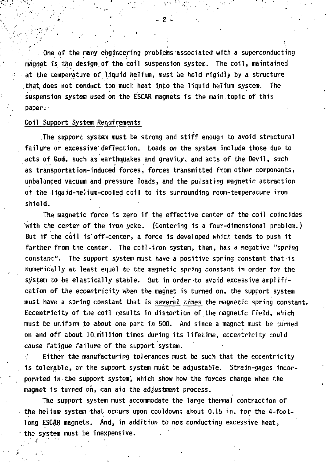**One of the many engineering problems associated with a superconducting magnet Is the design.of the coil suspension system. The coil, maintained at the temperature of liquid helium, must be held rigidly by a structure that, does not conduct too much heat into the liquid helium system. The suspension system used on the ESCAR magnets is the main topic of this paper.-**

## **Coil Support System Requirements**

**The support system must be strong and stiff enough to avoid structural failure or excessive deflection. Loads** *on* **the system include those due to acts of God, such as earthquakes and gravity, and acts of the Devil, such as transportation-induced forces, forces transmitted from other components, unbalanced vacuum and pressure loads, and the pulsating magnetic attraction of the liquid-helium-cooled coil to its surrounding room-temperature iron shield.** 

**The magnetic force is zero if the effective center of the coil coincides with the center of the iron yoke. (Centering is a four-dimensional problem.) But if the coil is off-center, a force is developed which tends to push it farther from the center. The coil-iron system, then, has a negative "spring constant". The support system must have a positive spring constant that is numerically at least equal to the magnetic spring constant in order for the system to be elastically stable. But in order-to avoid excessive amplification of the eccentricity when the magnet is turned on, the support system must have a spring constant that is seyeral times the magnetic spring constant. Eccentricity of the coil results in distortion of the magnetic field, which must be uniform to about one part in 500. And since a magnet must be turned on and off about 10 million times during its lifetime, eccentricity could cause fatigue failure of the support system.** 

**Either the manufacturing tolerances must be such that the eccentricity is tolerable, or the support system must be adjustable. Strain-gages incorporated in the support system, which show how the forces change when the magnet is turned oh, can aid the adjustment process.** 

**The support system must accommodate the large thermal contraction of the helium system that occurs upon cooldown; about 0.15 in. for the 4-footlong ESCAR magnets. And, in addition to not conducting excessive heat, "the system must be inexpensive.**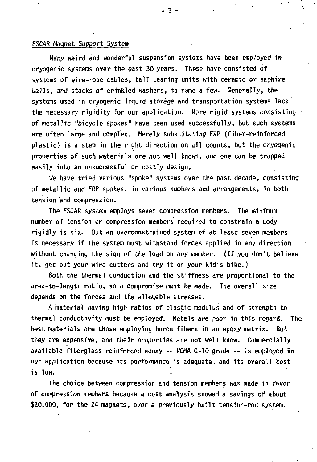### **ESCAR Magnet Support System**

**Many weird and wonderful suspension systems have been employed in cryogenic systems over the past 30 years. These have consisted of systems of wire-rope cables, ball bearing units with ceramic** *or* **saphire balls, and stacks of crinkled washers, to name a few. Generally, the systems used in cryogenic liquid storage and transportation systems lack the necessary rigidity for our application. More rigid systems consisting of metallic "bicycle spokes" have been used successfully, but such systems are often large and complex. Merely substituting FRP (fiber-reinforced plastic) is a step in the right direction on all counts, but the cryogenic properties of such materials are not well known, and one can be trapped easily into an unsuccessful or costly design.** 

**We have tried various "spoke" systems over the past decade, consisting of metallic and FRP spokes, in various numbers and arrangements, in both tension and compression.** 

**The ESCAR system employs seven compression members. The minimum number of tension or compression members required to constrain a body rigidly is six. But an overconstrained system of at least seven members is necessary if the system must withstand forces applied in any direction without changing the sign of the load** *on* **any member. (If you don't believe it, get out your wire cutters and try it on your kid's bike.)** 

**Both the thermal conduction and the stiffness are proportional to the area-to-length ratio, so a compromise must be made. The overall size depends on the forces and the allowable stresses.** 

**A material having high ratios of elastic modulus and of strength to thermal conductivity iiust be employed. Metals are poor in this regard. The best materials are those employing boron fibers in an epoxy matrix. But they are expensive, and their properties are not well know. Commercially available fiberglass-reinforced epoxy — NEMA G-10 grade ~ is employed in our application because its performance is adequate, and its overall cost is low.** 

**The choice between compression and tension members was made in favor of compression members because a cost analysis showed a savings of about \$20,000, for the 24 magnets, over a previously built tension-rod system.**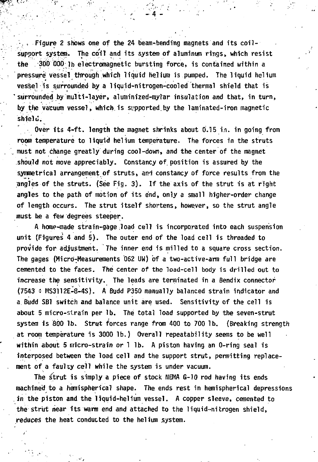Figure 2 shows one of the 24 beam-bending magnets and its coil**support system. The coil and its system of aluminum rings, which resist the .SOO 000 lb electromagnetic bursting force, is contained within a pressure vessel through which liquid helium is pumped. The liquid helium vessel is surrounded by a liquid-nitrogen-cooled thermal shield that is ' surrounded by multi-layer, aluminized-mylar insulation and that, in turn, by the vacuum vessel, which is supported.by the laminated-iron magnetic shield.** 

• 4

**Over its 4-ft. length the magnet shrinks about 0.15 in. in going from room temperature to liquid helium temperature. The forces in the struts , must not change greatly during cool-down, and the center of the magnet should not move appreciably. Constancy of. position is assured by the symmetrical arrangement of struts, and constancy of force results from the angles of the struts. (See Fig. 3) . If the axis of the strut is at right angles to the path of motion of its end, only a small higher-order change of length occurs. The strut itself shortens, however, so the strut angle must he a few degrees steeper.** 

**A home-made strain-gage,load cell is incorporated into each suspension unit (Figures 4 and 5). The outer end of the load cell is threaded to provide for adjustment. The inner end is milled to a square cross section. The gages (MicroTMeasurements 062 UW) of a two-active-arm full bridge are cemented to the faces. The** *center* **of the load-cell body is drilled out to increase the sensitivity. The leads are terminated in a Bendix connector (7543 \* HS3112E-8-4S). A Budd P350 manually balanced strain indicator and a Budd SB1 switch and balance unit are used. Sensitivity of the cell is about 5 micro-strain per lb. The total load supported by the seven-strut system is 800 lb. Strut forces range from 400 to 700 lb. (Breaking strength at room temperature is 3000 lb.) Overall repeatability seems to be well within about 5 micro-strain or 1 lb. A piston having an 0-ring seal is interposed between the load cell and the support strut, permitting replacement of a faulty ceil while the system is under vacuum.** 

**The strut is simply a piece of stock NEMA G-10 rod having its ends machined to a hemispherical shape. The ends rest in hemispherical depressions in the piston and the liquid-helium vessel. A copper sleeve, cemented to the strut near its warm end and attached to the liquid-nitrogen shield, reduces the heat conducted to the helium system.**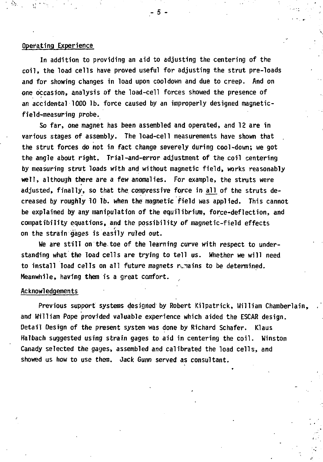#### **Operating Experience**

**In addition to providing an aid to adjusting the centering of the coil, the load cells have proved useful for adjusting the strut pre-loads and for showing changes in load upon cooldown and due to creep. And on one occasion, analysis of the load-cell forces showed the presence of an accidental 1000 lb. force caused by an improperly designed magneticfield-measuring probe.** 

**So far, one magnet has been assembled and operated, and 12 are in various stages of assembly. The load-cell measurements have shown that the strut forces do not in fact change severely during cool-down; we got the angle about right. Trial-and-error adjustment of the coil centering by measuring strut loads with and without magnetic field, works reasonably well, although there are a few anomalies. For example, the struts were**  adjusted, finally, so that the compressive force in all of the struts de**creased by roughly 10 lb. when the magnetic field was applied. This cannot be explained by any manipulation of the equilibrium, force-deflection, and compatibility equations, and the possibility of magnetic-field effects on the strain gages is easily ruled out.** 

**We are still on the.toe of the learning** *curve* **with respect to understanding what the load cells are trying to tell us. Whether we will need**  to install load cells on all future magnets rimains to be determined. **Meanwhile, having them is a great comfort.** 

#### **Acknowledgements**

**Previous support systems designed by Robert Kilpatrick, William Chamberlain, and William Pope provided valuable experience which aided the ESCAR design. Detail Design of the present system was done by Richard Schafer. Klaus Halbach suggested using strain gages to aid in centering the coil. Winston Canady selected the gages, assembled and calibrated the load cells, and showed us how to use them. Jack Gunn served as consultant.** 

5.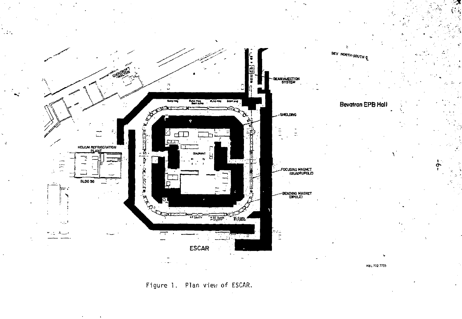

Figure 1. Plan view of ESCAR.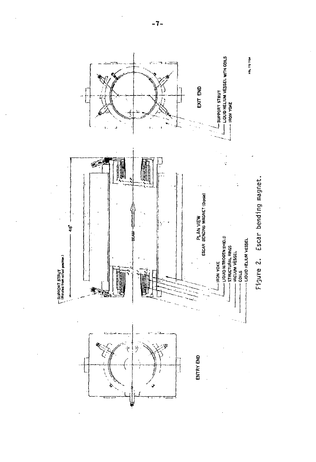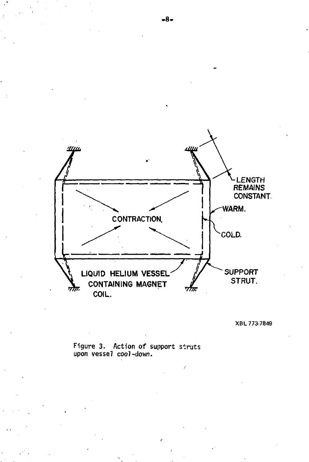

XBL 773-7849

**Figure 3. Action of support struts upon vessel coo)-down.**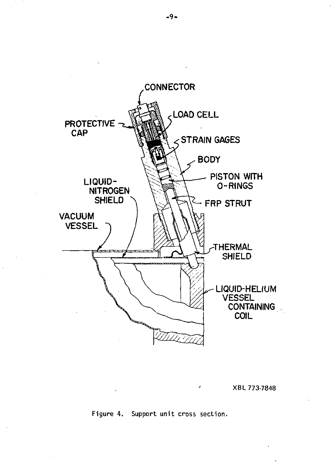

XBL 773-7848

Figure 4. Support unit cross section.

-9-